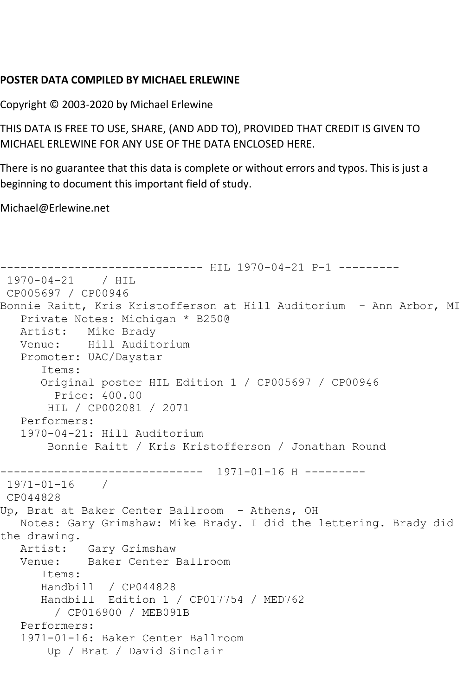## **POSTER DATA COMPILED BY MICHAEL ERLEWINE**

Copyright © 2003-2020 by Michael Erlewine

THIS DATA IS FREE TO USE, SHARE, (AND ADD TO), PROVIDED THAT CREDIT IS GIVEN TO MICHAEL ERLEWINE FOR ANY USE OF THE DATA ENCLOSED HERE.

There is no guarantee that this data is complete or without errors and typos. This is just a beginning to document this important field of study.

Michael@Erlewine.net

```
------------------------------ HIL 1970-04-21 P-1 ---------
1970-04-21 / HIL 
CP005697 / CP00946
Bonnie Raitt, Kris Kristofferson at Hill Auditorium - Ann Arbor, MI
   Private Notes: Michigan * B250@
   Artist: Mike Brady
   Venue: Hill Auditorium
   Promoter: UAC/Daystar
       Items:
       Original poster HIL Edition 1 / CP005697 / CP00946
         Price: 400.00
       HIL / CP002081 / 2071
   Performers:
   1970-04-21: Hill Auditorium
        Bonnie Raitt / Kris Kristofferson / Jonathan Round
------------------------------ 1971-01-16 H ---------
1971-01-16 / 
CP044828
Up, Brat at Baker Center Ballroom - Athens, OH
   Notes: Gary Grimshaw: Mike Brady. I did the lettering. Brady did 
the drawing.<br>Artist:
           Gary Grimshaw
   Venue: Baker Center Ballroom
       Items:
      Handbill / CP044828
      Handbill Edition 1 / CP017754 / MED762
         / CP016900 / MEB091B
   Performers:
   1971-01-16: Baker Center Ballroom
        Up / Brat / David Sinclair
```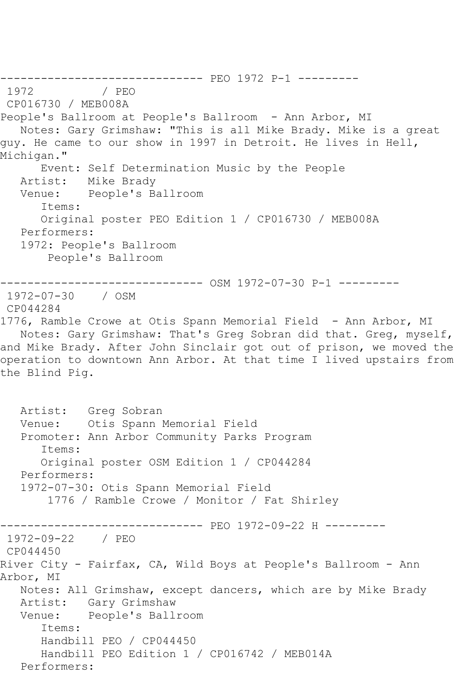------------------------------ PEO 1972 P-1 --------- / PEO CP016730 / MEB008A People's Ballroom at People's Ballroom - Ann Arbor, MI Notes: Gary Grimshaw: "This is all Mike Brady. Mike is a great guy. He came to our show in 1997 in Detroit. He lives in Hell, Michigan." Event: Self Determination Music by the People Artist: Mike Brady Venue: People's Ballroom Items: Original poster PEO Edition 1 / CP016730 / MEB008A Performers: 1972: People's Ballroom People's Ballroom ------------------------------ OSM 1972-07-30 P-1 --------- 1972-07-30 / OSM CP044284 1776, Ramble Crowe at Otis Spann Memorial Field - Ann Arbor, MI Notes: Gary Grimshaw: That's Greg Sobran did that. Greg, myself, and Mike Brady. After John Sinclair got out of prison, we moved the operation to downtown Ann Arbor. At that time I lived upstairs from the Blind Pig. Artist: Greg Sobran Venue: Otis Spann Memorial Field Promoter: Ann Arbor Community Parks Program Items: Original poster OSM Edition 1 / CP044284 Performers: 1972-07-30: Otis Spann Memorial Field 1776 / Ramble Crowe / Monitor / Fat Shirley ------------------------------ PEO 1972-09-22 H --------- 1972-09-22 / PEO CP044450 River City - Fairfax, CA, Wild Boys at People's Ballroom - Ann Arbor, MI Notes: All Grimshaw, except dancers, which are by Mike Brady Artist: Gary Grimshaw Venue: People's Ballroom Items: Handbill PEO / CP044450 Handbill PEO Edition 1 / CP016742 / MEB014A Performers: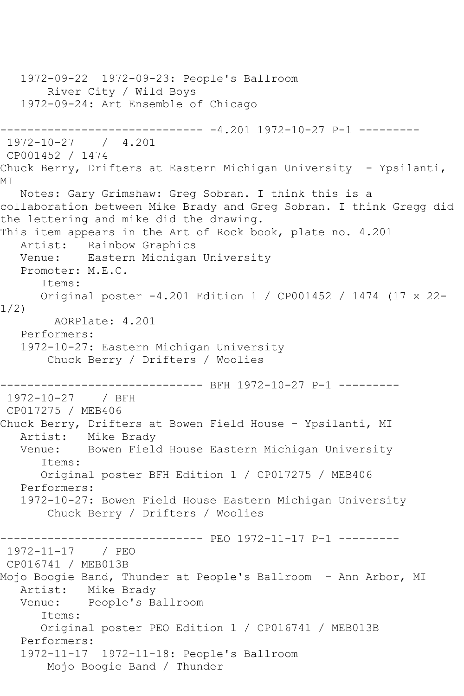1972-09-22 1972-09-23: People's Ballroom River City / Wild Boys 1972-09-24: Art Ensemble of Chicago ------------------------------ -4.201 1972-10-27 P-1 --------- 1972-10-27 / 4.201 CP001452 / 1474 Chuck Berry, Drifters at Eastern Michigan University - Ypsilanti, MI Notes: Gary Grimshaw: Greg Sobran. I think this is a collaboration between Mike Brady and Greg Sobran. I think Gregg did the lettering and mike did the drawing. This item appears in the Art of Rock book, plate no. 4.201 Artist: Rainbow Graphics Venue: Eastern Michigan University Promoter: M.E.C. Items: Original poster -4.201 Edition 1 / CP001452 / 1474 (17 x 22- 1/2) AORPlate: 4.201 Performers: 1972-10-27: Eastern Michigan University Chuck Berry / Drifters / Woolies ------------------------------ BFH 1972-10-27 P-1 --------- 1972-10-27 / BFH CP017275 / MEB406 Chuck Berry, Drifters at Bowen Field House - Ypsilanti, MI Artist: Mike Brady Venue: Bowen Field House Eastern Michigan University Items: Original poster BFH Edition 1 / CP017275 / MEB406 Performers: 1972-10-27: Bowen Field House Eastern Michigan University Chuck Berry / Drifters / Woolies ------------------------------ PEO 1972-11-17 P-1 --------- 1972-11-17 / PEO CP016741 / MEB013B Mojo Boogie Band, Thunder at People's Ballroom - Ann Arbor, MI Artist: Mike Brady Venue: People's Ballroom Items: Original poster PEO Edition 1 / CP016741 / MEB013B Performers: 1972-11-17 1972-11-18: People's Ballroom Mojo Boogie Band / Thunder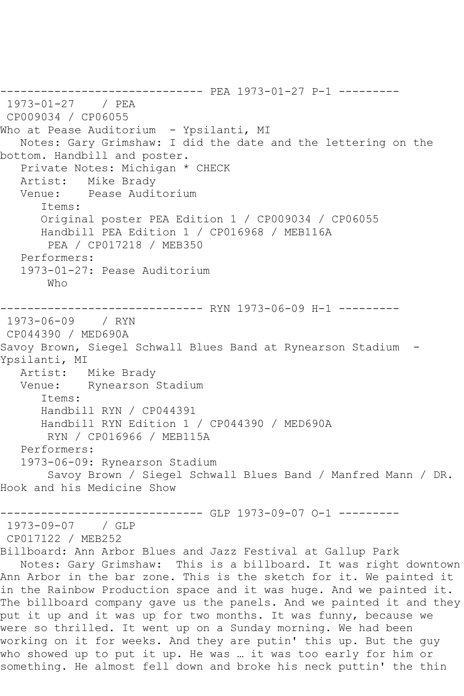------------------------------ PEA 1973-01-27 P-1 --------- 1973-01-27 / PEA CP009034 / CP06055 Who at Pease Auditorium - Ypsilanti, MI Notes: Gary Grimshaw: I did the date and the lettering on the bottom. Handbill and poster. Private Notes: Michigan \* CHECK Artist: Mike Brady Venue: Pease Auditorium Items: Original poster PEA Edition 1 / CP009034 / CP06055 Handbill PEA Edition 1 / CP016968 / MEB116A PEA / CP017218 / MEB350 Performers: 1973-01-27: Pease Auditorium Who ------------------------------ RYN 1973-06-09 H-1 --------- 1973-06-09 / RYN CP044390 / MED690A Savoy Brown, Siegel Schwall Blues Band at Rynearson Stadium - Ypsilanti, MI Artist: Mike Brady Venue: Rynearson Stadium Items: Handbill RYN / CP044391 Handbill RYN Edition 1 / CP044390 / MED690A RYN / CP016966 / MEB115A Performers: 1973-06-09: Rynearson Stadium Savoy Brown / Siegel Schwall Blues Band / Manfred Mann / DR. Hook and his Medicine Show ------------------------------ GLP 1973-09-07 O-1 --------- 1973-09-07 / GLP CP017122 / MEB252 Billboard: Ann Arbor Blues and Jazz Festival at Gallup Park Notes: Gary Grimshaw: This is a billboard. It was right downtown Ann Arbor in the bar zone. This is the sketch for it. We painted it in the Rainbow Production space and it was huge. And we painted it. The billboard company gave us the panels. And we painted it and they put it up and it was up for two months. It was funny, because we were so thrilled. It went up on a Sunday morning. We had been working on it for weeks. And they are putin' this up. But the guy who showed up to put it up. He was … it was too early for him or something. He almost fell down and broke his neck puttin' the thin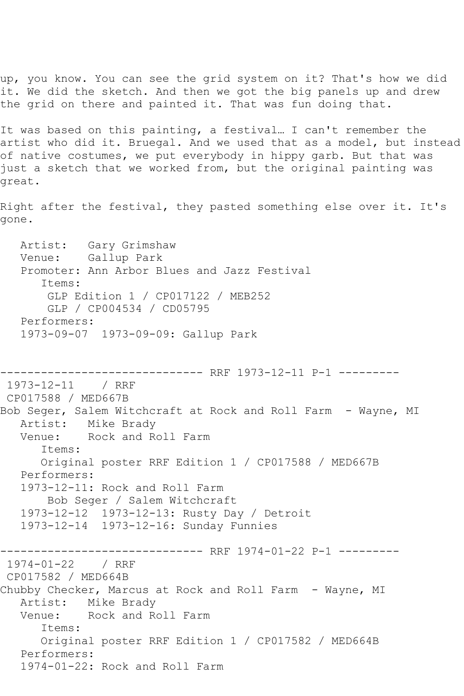up, you know. You can see the grid system on it? That's how we did it. We did the sketch. And then we got the big panels up and drew the grid on there and painted it. That was fun doing that.

It was based on this painting, a festival… I can't remember the artist who did it. Bruegal. And we used that as a model, but instead of native costumes, we put everybody in hippy garb. But that was just a sketch that we worked from, but the original painting was great.

Right after the festival, they pasted something else over it. It's gone.

 Artist: Gary Grimshaw Venue: Gallup Park Promoter: Ann Arbor Blues and Jazz Festival Items: GLP Edition 1 / CP017122 / MEB252 GLP / CP004534 / CD05795 Performers: 1973-09-07 1973-09-09: Gallup Park

------------------------------ RRF 1973-12-11 P-1 --------- 1973-12-11 / RRF CP017588 / MED667B Bob Seger, Salem Witchcraft at Rock and Roll Farm - Wayne, MI Artist: Mike Brady Venue: Rock and Roll Farm Items: Original poster RRF Edition 1 / CP017588 / MED667B Performers: 1973-12-11: Rock and Roll Farm Bob Seger / Salem Witchcraft 1973-12-12 1973-12-13: Rusty Day / Detroit 1973-12-14 1973-12-16: Sunday Funnies ------------------------------ RRF 1974-01-22 P-1 --------- 1974-01-22 / RRF CP017582 / MED664B Chubby Checker, Marcus at Rock and Roll Farm - Wayne, MI Artist: Mike Brady Venue: Rock and Roll Farm Items: Original poster RRF Edition 1 / CP017582 / MED664B Performers: 1974-01-22: Rock and Roll Farm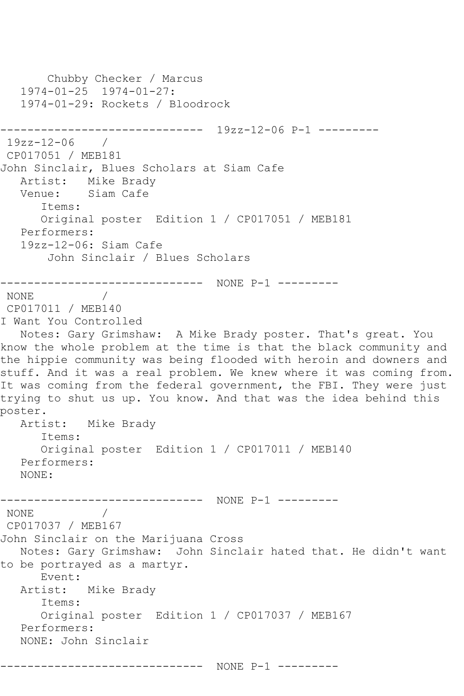```
 Chubby Checker / Marcus
   1974-01-25 1974-01-27:
   1974-01-29: Rockets / Bloodrock
------------------------------ 19zz-12-06 P-1 ---------
19zz-12-06 / 
CP017051 / MEB181
John Sinclair, Blues Scholars at Siam Cafe
   Artist: Mike Brady
   Venue: Siam Cafe
      Items:
      Original poster Edition 1 / CP017051 / MEB181
   Performers:
   19zz-12-06: Siam Cafe
       John Sinclair / Blues Scholars
------------------------------ NONE P-1 ---------
NONE / 
CP017011 / MEB140
I Want You Controlled
  Notes: Gary Grimshaw: A Mike Brady poster. That's great. You 
know the whole problem at the time is that the black community and 
the hippie community was being flooded with heroin and downers and 
stuff. And it was a real problem. We knew where it was coming from. 
It was coming from the federal government, the FBI. They were just
trying to shut us up. You know. And that was the idea behind this 
poster.<br>Artist:
           Mike Brady
      Items:
      Original poster Edition 1 / CP017011 / MEB140
   Performers:
   NONE:
------------------------------ NONE P-1 ---------
NONE / 
CP017037 / MEB167
John Sinclair on the Marijuana Cross
   Notes: Gary Grimshaw: John Sinclair hated that. He didn't want 
to be portrayed as a martyr.
      Event: 
   Artist: Mike Brady
      Items:
      Original poster Edition 1 / CP017037 / MEB167
   Performers:
   NONE: John Sinclair
------------------------------ NONE P-1 ---------
```